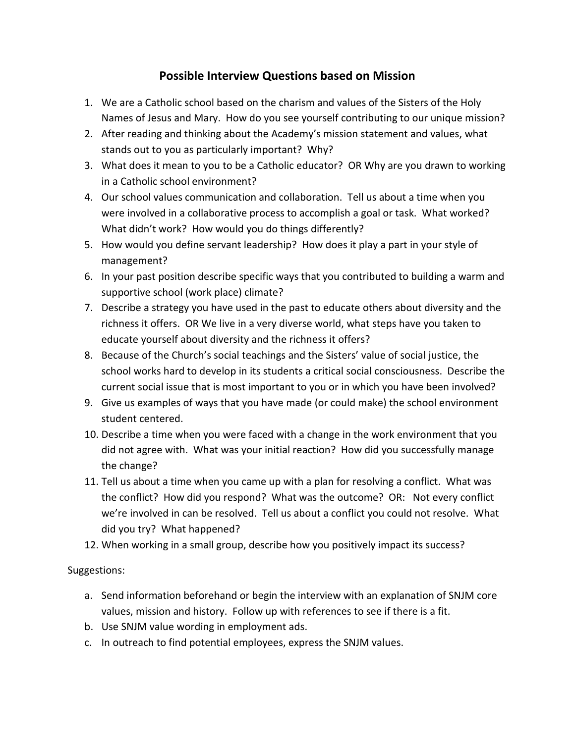## **Possible Interview Questions based on Mission**

- 1. We are a Catholic school based on the charism and values of the Sisters of the Holy Names of Jesus and Mary. How do you see yourself contributing to our unique mission?
- 2. After reading and thinking about the Academy's mission statement and values, what stands out to you as particularly important? Why?
- 3. What does it mean to you to be a Catholic educator? OR Why are you drawn to working in a Catholic school environment?
- 4. Our school values communication and collaboration. Tell us about a time when you were involved in a collaborative process to accomplish a goal or task. What worked? What didn't work? How would you do things differently?
- 5. How would you define servant leadership? How does it play a part in your style of management?
- 6. In your past position describe specific ways that you contributed to building a warm and supportive school (work place) climate?
- 7. Describe a strategy you have used in the past to educate others about diversity and the richness it offers. OR We live in a very diverse world, what steps have you taken to educate yourself about diversity and the richness it offers?
- 8. Because of the Church's social teachings and the Sisters' value of social justice, the school works hard to develop in its students a critical social consciousness. Describe the current social issue that is most important to you or in which you have been involved?
- 9. Give us examples of ways that you have made (or could make) the school environment student centered.
- 10. Describe a time when you were faced with a change in the work environment that you did not agree with. What was your initial reaction? How did you successfully manage the change?
- 11. Tell us about a time when you came up with a plan for resolving a conflict. What was the conflict? How did you respond? What was the outcome? OR: Not every conflict we're involved in can be resolved. Tell us about a conflict you could not resolve. What did you try? What happened?
- 12. When working in a small group, describe how you positively impact its success?

## Suggestions:

- a. Send information beforehand or begin the interview with an explanation of SNJM core values, mission and history. Follow up with references to see if there is a fit.
- b. Use SNJM value wording in employment ads.
- c. In outreach to find potential employees, express the SNJM values.